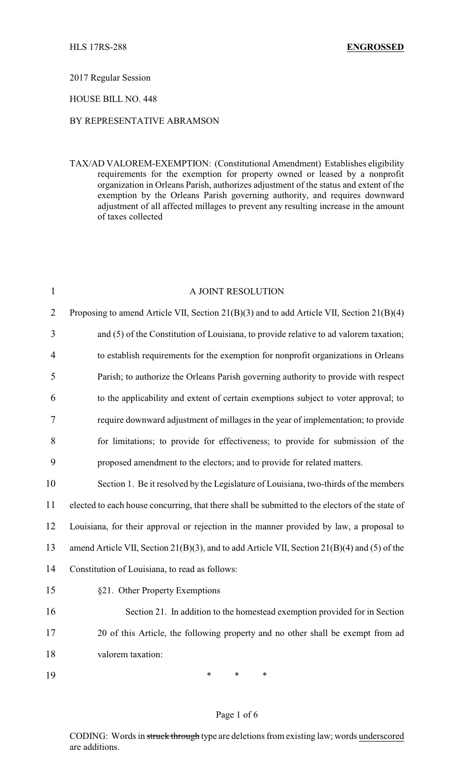## 2017 Regular Session

## HOUSE BILL NO. 448

# BY REPRESENTATIVE ABRAMSON

TAX/AD VALOREM-EXEMPTION: (Constitutional Amendment) Establishes eligibility requirements for the exemption for property owned or leased by a nonprofit organization in Orleans Parish, authorizes adjustment of the status and extent of the exemption by the Orleans Parish governing authority, and requires downward adjustment of all affected millages to prevent any resulting increase in the amount of taxes collected

| $\mathbf{1}$   | A JOINT RESOLUTION                                                                              |
|----------------|-------------------------------------------------------------------------------------------------|
| $\overline{2}$ | Proposing to amend Article VII, Section 21(B)(3) and to add Article VII, Section 21(B)(4)       |
| 3              | and (5) of the Constitution of Louisiana, to provide relative to ad valorem taxation;           |
| 4              | to establish requirements for the exemption for nonprofit organizations in Orleans              |
| 5              | Parish; to authorize the Orleans Parish governing authority to provide with respect             |
| 6              | to the applicability and extent of certain exemptions subject to voter approval; to             |
| 7              | require downward adjustment of millages in the year of implementation; to provide               |
| 8              | for limitations; to provide for effectiveness; to provide for submission of the                 |
| 9              | proposed amendment to the electors; and to provide for related matters.                         |
| 10             | Section 1. Be it resolved by the Legislature of Louisiana, two-thirds of the members            |
| 11             | elected to each house concurring, that there shall be submitted to the electors of the state of |
| 12             | Louisiana, for their approval or rejection in the manner provided by law, a proposal to         |
| 13             | amend Article VII, Section 21(B)(3), and to add Article VII, Section 21(B)(4) and (5) of the    |
| 14             | Constitution of Louisiana, to read as follows:                                                  |
| 15             | §21. Other Property Exemptions                                                                  |
| 16             | Section 21. In addition to the homestead exemption provided for in Section                      |
| 17             | 20 of this Article, the following property and no other shall be exempt from ad                 |
| 18             | valorem taxation:                                                                               |
| 19             | $\ast$<br>$\ast$<br>∗                                                                           |

#### Page 1 of 6

CODING: Words in struck through type are deletions from existing law; words underscored are additions.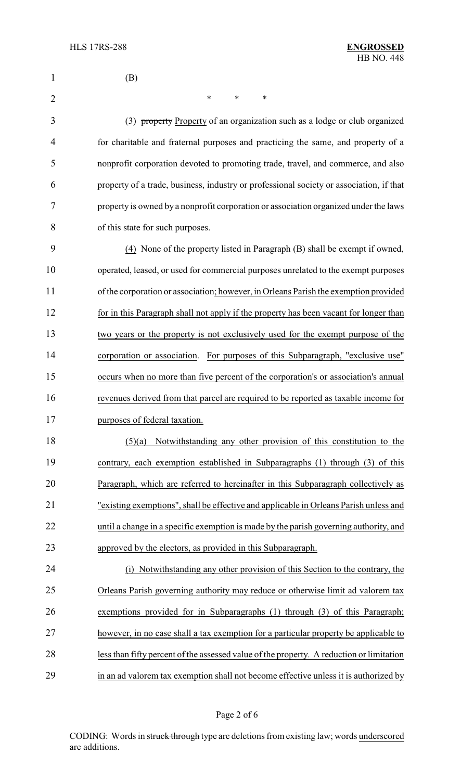| 1              | (B)                                                                                      |  |
|----------------|------------------------------------------------------------------------------------------|--|
| $\overline{2}$ | $\ast$<br>$\ast$<br>∗                                                                    |  |
| 3              | (3) property Property of an organization such as a lodge or club organized               |  |
| 4              | for charitable and fraternal purposes and practicing the same, and property of a         |  |
| 5              | nonprofit corporation devoted to promoting trade, travel, and commerce, and also         |  |
| 6              | property of a trade, business, industry or professional society or association, if that  |  |
| 7              | property is owned by a nonprofit corporation or association organized under the laws     |  |
| 8              | of this state for such purposes.                                                         |  |
| 9              | (4) None of the property listed in Paragraph (B) shall be exempt if owned,               |  |
| 10             | operated, leased, or used for commercial purposes unrelated to the exempt purposes       |  |
| 11             | of the corporation or association; however, in Orleans Parish the exemption provided     |  |
| 12             | for in this Paragraph shall not apply if the property has been vacant for longer than    |  |
| 13             | two years or the property is not exclusively used for the exempt purpose of the          |  |
| 14             | corporation or association. For purposes of this Subparagraph, "exclusive use"           |  |
| 15             | occurs when no more than five percent of the corporation's or association's annual       |  |
| 16             | revenues derived from that parcel are required to be reported as taxable income for      |  |
| 17             | purposes of federal taxation.                                                            |  |
| 18             | Notwithstanding any other provision of this constitution to the<br>(5)(a)                |  |
| 19             | contrary, each exemption established in Subparagraphs (1) through (3) of this            |  |
| 20             | Paragraph, which are referred to hereinafter in this Subparagraph collectively as        |  |
| 21             | "existing exemptions", shall be effective and applicable in Orleans Parish unless and    |  |
| 22             | until a change in a specific exemption is made by the parish governing authority, and    |  |
| 23             | approved by the electors, as provided in this Subparagraph.                              |  |
| 24             | Notwithstanding any other provision of this Section to the contrary, the<br>(i)          |  |
| 25             | Orleans Parish governing authority may reduce or otherwise limit ad valorem tax          |  |
| 26             | exemptions provided for in Subparagraphs (1) through (3) of this Paragraph;              |  |
| 27             | however, in no case shall a tax exemption for a particular property be applicable to     |  |
| 28             | less than fifty percent of the assessed value of the property. A reduction or limitation |  |
| 29             | in an ad valorem tax exemption shall not become effective unless it is authorized by     |  |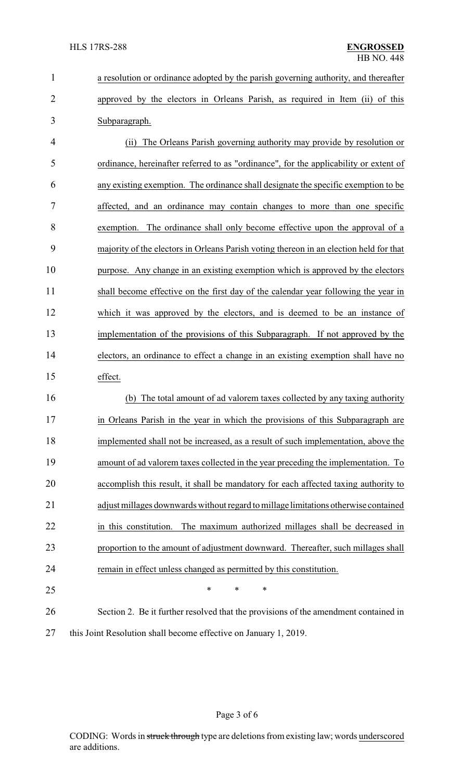| $\mathbf 1$    | a resolution or ordinance adopted by the parish governing authority, and thereafter    |
|----------------|----------------------------------------------------------------------------------------|
| $\overline{2}$ | approved by the electors in Orleans Parish, as required in Item (ii) of this           |
| 3              | Subparagraph.                                                                          |
| 4              | The Orleans Parish governing authority may provide by resolution or<br>(ii)            |
| 5              | ordinance, hereinafter referred to as "ordinance", for the applicability or extent of  |
| 6              | any existing exemption. The ordinance shall designate the specific exemption to be     |
| 7              | affected, and an ordinance may contain changes to more than one specific               |
| 8              | exemption. The ordinance shall only become effective upon the approval of a            |
| 9              | majority of the electors in Orleans Parish voting thereon in an election held for that |
| 10             | purpose. Any change in an existing exemption which is approved by the electors         |
| 11             | shall become effective on the first day of the calendar year following the year in     |
| 12             | which it was approved by the electors, and is deemed to be an instance of              |
| 13             | implementation of the provisions of this Subparagraph. If not approved by the          |
| 14             | electors, an ordinance to effect a change in an existing exemption shall have no       |
| 15             | effect.                                                                                |
| 16             | The total amount of ad valorem taxes collected by any taxing authority<br>(b)          |
| 17             | in Orleans Parish in the year in which the provisions of this Subparagraph are         |
| 18             | implemented shall not be increased, as a result of such implementation, above the      |
| 19             | amount of ad valorem taxes collected in the year preceding the implementation. To      |
| 20             | accomplish this result, it shall be mandatory for each affected taxing authority to    |
| 21             | adjust millages downwards without regard to millage limitations otherwise contained    |
| 22             | The maximum authorized millages shall be decreased in<br>in this constitution.         |
| 23             | proportion to the amount of adjustment downward. Thereafter, such millages shall       |
| 24             | remain in effect unless changed as permitted by this constitution.                     |
| 25             | $\ast$<br>*<br>*                                                                       |
| 26             | Section 2. Be it further resolved that the provisions of the amendment contained in    |
| 27             | this Joint Resolution shall become effective on January 1, 2019.                       |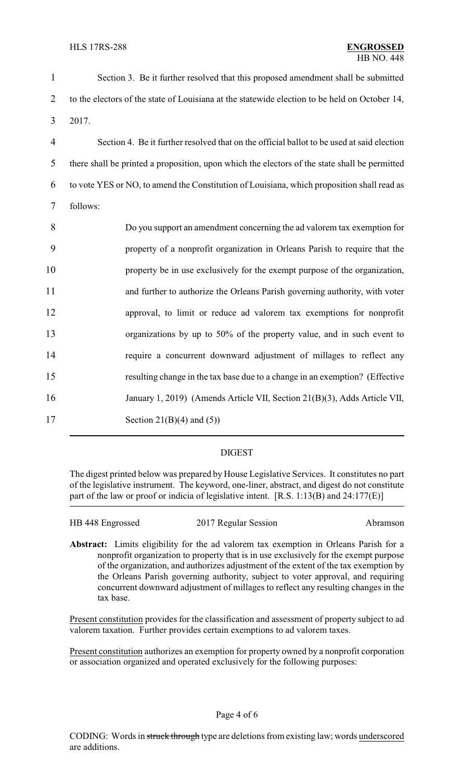| $\mathbf{1}$   | Section 3. Be it further resolved that this proposed amendment shall be submitted             |  |  |
|----------------|-----------------------------------------------------------------------------------------------|--|--|
| $\overline{2}$ | to the electors of the state of Louisiana at the statewide election to be held on October 14, |  |  |
| 3              | 2017.                                                                                         |  |  |
| $\overline{4}$ | Section 4. Be it further resolved that on the official ballot to be used at said election     |  |  |
| 5              | there shall be printed a proposition, upon which the electors of the state shall be permitted |  |  |
| 6              | to vote YES or NO, to amend the Constitution of Louisiana, which proposition shall read as    |  |  |
| $\tau$         | follows:                                                                                      |  |  |
| 8              | Do you support an amendment concerning the ad valorem tax exemption for                       |  |  |
| 9              | property of a nonprofit organization in Orleans Parish to require that the                    |  |  |
| 10             | property be in use exclusively for the exempt purpose of the organization,                    |  |  |
| 11             | and further to authorize the Orleans Parish governing authority, with voter                   |  |  |
| 12             | approval, to limit or reduce ad valorem tax exemptions for nonprofit                          |  |  |
| 13             | organizations by up to 50% of the property value, and in such event to                        |  |  |
| 14             | require a concurrent downward adjustment of millages to reflect any                           |  |  |
| 15             | resulting change in the tax base due to a change in an exemption? (Effective                  |  |  |
| 16             | January 1, 2019) (Amends Article VII, Section 21(B)(3), Adds Article VII,                     |  |  |
| 17             | Section 21(B)(4) and $(5)$ )                                                                  |  |  |

## DIGEST

The digest printed below was prepared by House Legislative Services. It constitutes no part of the legislative instrument. The keyword, one-liner, abstract, and digest do not constitute part of the law or proof or indicia of legislative intent. [R.S. 1:13(B) and 24:177(E)]

| HB 448 Engrossed | 2017 Regular Session | Abramson |
|------------------|----------------------|----------|
|                  |                      |          |

**Abstract:** Limits eligibility for the ad valorem tax exemption in Orleans Parish for a nonprofit organization to property that is in use exclusively for the exempt purpose of the organization, and authorizes adjustment of the extent of the tax exemption by the Orleans Parish governing authority, subject to voter approval, and requiring concurrent downward adjustment of millages to reflect any resulting changes in the tax base.

Present constitution provides for the classification and assessment of property subject to ad valorem taxation. Further provides certain exemptions to ad valorem taxes.

Present constitution authorizes an exemption for property owned by a nonprofit corporation or association organized and operated exclusively for the following purposes: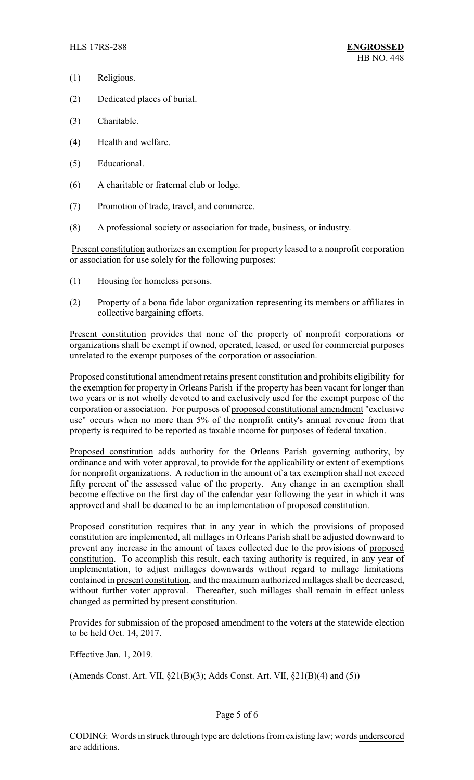- (1) Religious.
- (2) Dedicated places of burial.
- (3) Charitable.
- (4) Health and welfare.
- (5) Educational.
- (6) A charitable or fraternal club or lodge.
- (7) Promotion of trade, travel, and commerce.
- (8) A professional society or association for trade, business, or industry.

Present constitution authorizes an exemption for property leased to a nonprofit corporation or association for use solely for the following purposes:

- (1) Housing for homeless persons.
- (2) Property of a bona fide labor organization representing its members or affiliates in collective bargaining efforts.

Present constitution provides that none of the property of nonprofit corporations or organizations shall be exempt if owned, operated, leased, or used for commercial purposes unrelated to the exempt purposes of the corporation or association.

Proposed constitutional amendment retains present constitution and prohibits eligibility for the exemption for property in Orleans Parish if the property has been vacant for longer than two years or is not wholly devoted to and exclusively used for the exempt purpose of the corporation or association. For purposes of proposed constitutional amendment "exclusive use" occurs when no more than 5% of the nonprofit entity's annual revenue from that property is required to be reported as taxable income for purposes of federal taxation.

Proposed constitution adds authority for the Orleans Parish governing authority, by ordinance and with voter approval, to provide for the applicability or extent of exemptions for nonprofit organizations. A reduction in the amount of a tax exemption shall not exceed fifty percent of the assessed value of the property. Any change in an exemption shall become effective on the first day of the calendar year following the year in which it was approved and shall be deemed to be an implementation of proposed constitution.

Proposed constitution requires that in any year in which the provisions of proposed constitution are implemented, all millages in Orleans Parish shall be adjusted downward to prevent any increase in the amount of taxes collected due to the provisions of proposed constitution. To accomplish this result, each taxing authority is required, in any year of implementation, to adjust millages downwards without regard to millage limitations contained in present constitution, and the maximum authorized millages shall be decreased, without further voter approval. Thereafter, such millages shall remain in effect unless changed as permitted by present constitution.

Provides for submission of the proposed amendment to the voters at the statewide election to be held Oct. 14, 2017.

Effective Jan. 1, 2019.

(Amends Const. Art. VII, §21(B)(3); Adds Const. Art. VII, §21(B)(4) and (5))